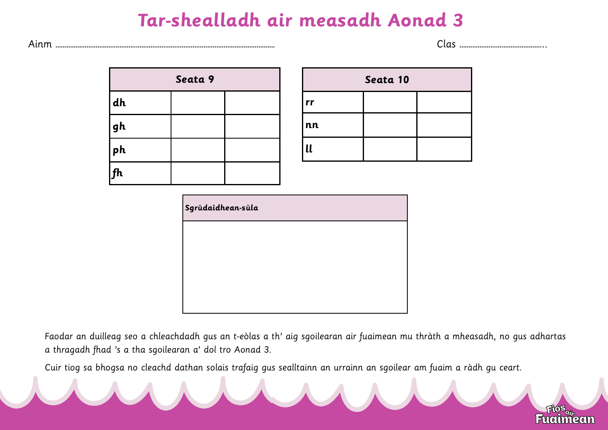## **Tar-shealladh air measadh Aonad 3**



| Seata 9 |  |  |  |  |
|---------|--|--|--|--|
| dh      |  |  |  |  |
| gh      |  |  |  |  |
| ph      |  |  |  |  |
| f h     |  |  |  |  |

| Seata 10     |  |  |  |  |  |
|--------------|--|--|--|--|--|
| rr           |  |  |  |  |  |
| nn           |  |  |  |  |  |
| $\mathbf{u}$ |  |  |  |  |  |

| Sgrùdaidhean-sùla |  |  |
|-------------------|--|--|
|                   |  |  |
|                   |  |  |
|                   |  |  |
|                   |  |  |

Faodar an duilleag seo a chleachdadh gus an t-eòlas a th' aig sgoilearan air fuaimean mu thràth a mheasadh, no gus adhartas a thragadh fhad 's a tha sgoilearan a' dol tro Aonad 3.

Cuir tiog sa bhogsa no cleachd dathan solais trafaig gus sealltainn an urrainn an sgoilear am fuaim a ràdh gu ceart.